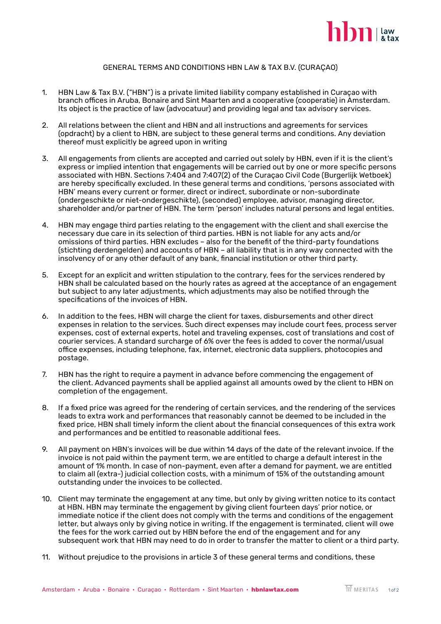

## GENERAL TERMS AND CONDITIONS HBN LAW & TAX B.V. (CURAÇAO)

- 1. HBN Law & Tax B.V. ("HBN") is a private limited liability company established in Curaçao with branch offices in Aruba, Bonaire and Sint Maarten and a cooperative (cooperatie) in Amsterdam. Its object is the practice of law (advocatuur) and providing legal and tax advisory services.
- 2. All relations between the client and HBN and all instructions and agreements for services (opdracht) by a client to HBN, are subject to these general terms and conditions. Any deviation thereof must explicitly be agreed upon in writing
- 3. All engagements from clients are accepted and carried out solely by HBN, even if it is the client's express or implied intention that engagements will be carried out by one or more specific persons associated with HBN. Sections 7:404 and 7:407(2) of the Curaçao Civil Code (Burgerlijk Wetboek) are hereby specifically excluded. In these general terms and conditions, 'persons associated with HBN' means every current or former, direct or indirect, subordinate or non-subordinate (ondergeschikte or niet-ondergeschikte), (seconded) employee, advisor, managing director, shareholder and/or partner of HBN. The term 'person' includes natural persons and legal entities.
- 4. HBN may engage third parties relating to the engagement with the client and shall exercise the necessary due care in its selection of third parties. HBN is not liable for any acts and/or omissions of third parties. HBN excludes – also for the benefit of the third-party foundations (stichting derdengelden) and accounts of HBN – all liability that is in any way connected with the insolvency of or any other default of any bank, financial institution or other third party.
- 5. Except for an explicit and written stipulation to the contrary, fees for the services rendered by HBN shall be calculated based on the hourly rates as agreed at the acceptance of an engagement but subject to any later adjustments, which adjustments may also be notified through the specifications of the invoices of HBN.
- 6. In addition to the fees, HBN will charge the client for taxes, disbursements and other direct expenses in relation to the services. Such direct expenses may include court fees, process server expenses, cost of external experts, hotel and traveling expenses, cost of translations and cost of courier services. A standard surcharge of 6% over the fees is added to cover the normal/usual office expenses, including telephone, fax, internet, electronic data suppliers, photocopies and postage.
- 7. HBN has the right to require a payment in advance before commencing the engagement of the client. Advanced payments shall be applied against all amounts owed by the client to HBN on completion of the engagement.
- 8. If a fixed price was agreed for the rendering of certain services, and the rendering of the services leads to extra work and performances that reasonably cannot be deemed to be included in the fixed price, HBN shall timely inform the client about the financial consequences of this extra work and performances and be entitled to reasonable additional fees.
- 9. All payment on HBN's invoices will be due within 14 days of the date of the relevant invoice. If the invoice is not paid within the payment term, we are entitled to charge a default interest in the amount of 1% month. In case of non-payment, even after a demand for payment, we are entitled to claim all (extra-) judicial collection costs, with a minimum of 15% of the outstanding amount outstanding under the invoices to be collected.
- 10. Client may terminate the engagement at any time, but only by giving written notice to its contact at HBN. HBN may terminate the engagement by giving client fourteen days' prior notice, or immediate notice if the client does not comply with the terms and conditions of the engagement letter, but always only by giving notice in writing. If the engagement is terminated, client will owe the fees for the work carried out by HBN before the end of the engagement and for any subsequent work that HBN may need to do in order to transfer the matter to client or a third party.
- 11. Without prejudice to the provisions in article 3 of these general terms and conditions, these